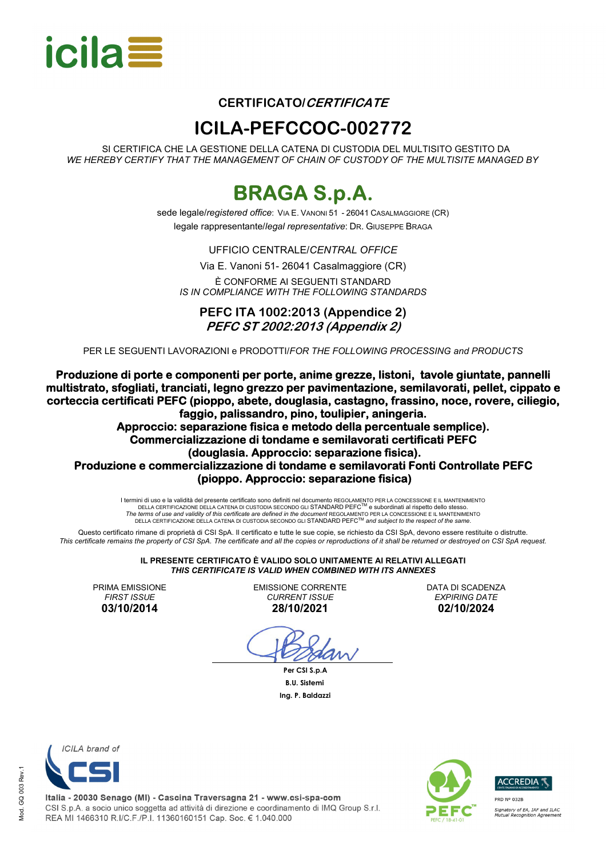

### **CERTIFICATO/CERTIFICATE**

### **ICILA-PEFCCOC-002772**

SI CERTIFICA CHE LA GESTIONE DELLA CATENA DI CUSTODIA DEL MULTISITO GESTITO DA *WE HEREBY CERTIFY THAT THE MANAGEMENT OF CHAIN OF CUSTODY OF THE MULTISITE MANAGED BY*

## **BRAGA S.p.A.**

sede legale/*registered office*: VIA E. VANONI 51 - 26041 CASALMAGGIORE (CR) legale rappresentante/*legal representative*: DR. GIUSEPPE BRAGA

UFFICIO CENTRALE/*CENTRAL OFFICE*

Via E. Vanoni 51- 26041 Casalmaggiore (CR) È CONFORME AI SEGUENTI STANDARD *IS IN COMPLIANCE WITH THE FOLLOWING STANDARDS*

**PEFC ITA 1002:2013 (Appendice 2) PEFC ST 2002:2013 (Appendix 2)** 

PER LE SEGUENTI LAVORAZIONI e PRODOTTI/*FOR THE FOLLOWING PROCESSING and PRODUCTS*

**Produzione di porte e componenti per porte, anime grezze, listoni, tavole giuntate, pannelli multistrato, sfogliati, tranciati, legno grezzo per pavimentazione, semilavorati, pellet, cippato e corteccia certificati PEFC (pioppo, abete, douglasia, castagno, frassino, noce, rovere, ciliegio, faggio, palissandro, pino, toulipier, aningeria.** 

**Approccio: separazione fisica e metodo della percentuale semplice). Commercializzazione di tondame e semilavorati certificati PEFC (douglasia. Approccio: separazione fisica). Produzione e commercializzazione di tondame e semilavorati Fonti Controllate PEFC (pioppo. Approccio: separazione fisica)** 

 I termini di uso e la validità del presente certificato sono definiti nel documento REGOLAMENTO PER LA CONCESSIONE E IL MANTENIMENTO ni di uso e la vandita dei presente certificato sono definiti nel documento ReGOLAMENTO PER LA CONCESSIONE E IL MANTENII<br>DELLA CERTIFICAZIONE DELLA CATENA DI CUSTODIA SECONDO GLI STANDARD PEFC<sup>TM</sup> e subordinati al rispetto The terms of use and validity of this certificate are defined in the document REGOLAMENTO PER LA CONCESSIONE E IL MANTENIMENTO<br>DELLA CERTIFICAZIONE DELLA CATENA DI CUSTODIA SECONDO GLI STANDARD PEFC™ and subject to the re

Questo certificato rimane di proprietà di CSI SpA. Il certificato e tutte le sue copie, se richiesto da CSI SpA, devono essere restituite o distrutte. *This certificate remains the property of CSI SpA. The certificate and all the copies or reproductions of it shall be returned or destroyed on CSI SpA request.* 

> **IL PRESENTE CERTIFICATO È VALIDO SOLO UNITAMENTE AI RELATIVI ALLEGATI**  *THIS CERTIFICATE IS VALID WHEN COMBINED WITH ITS ANNEXES*

PRIMA EMISSIONE *FIRST ISSUE*  **03/10/2014** 

EMISSIONE CORRENTE *CURRENT ISSUE*  **28/10/2021** 

DATA DI SCADENZA *EXPIRING DATE*  **02/10/2024** 

 **Per CSI S.p.A B.U. Sistemi Ing. P. Baldazzi**



Italia - 20030 Senago (MI) - Cascina Traversagna 21 - www.csi-spa-com CSI S.p.A. a socio unico soggetta ad attività di direzione e coordinamento di IMQ Group S.r.l. REA MI 1466310 R.I/C.F./P.I. 11360160151 Cap. Soc. € 1.040.000



**ACCREDIA** PRD Nº 032B .<br>Signatory of EA, IAF and ILAC<br>Mutual Recognition Agreement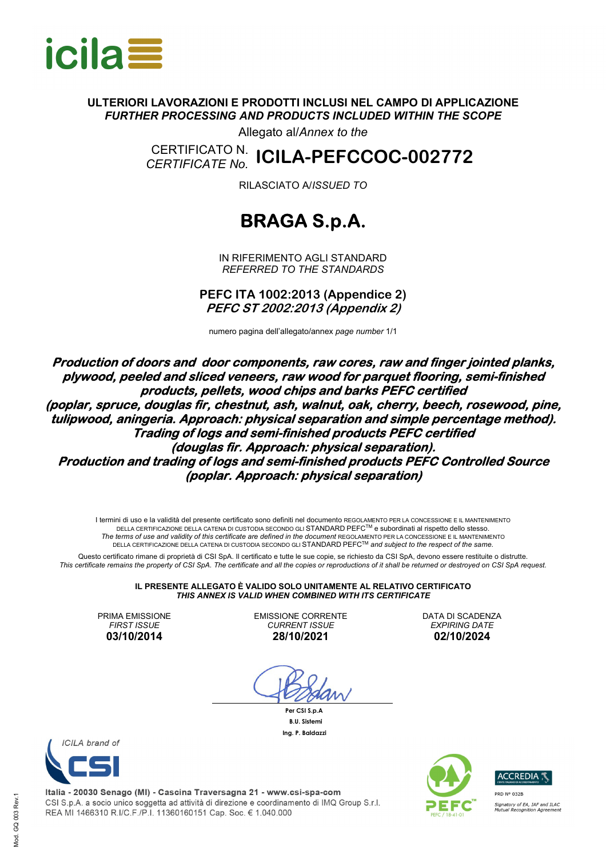

### **ULTERIORI LAVORAZIONI E PRODOTTI INCLUSI NEL CAMPO DI APPLICAZIONE**  *FURTHER PROCESSING AND PRODUCTS INCLUDED WITHIN THE SCOPE*

Allegato al/*Annex to the*

CERTIFICATO N.<br>CERTIFICATE No. *CERTIFICATE No.* **ICILA-PEFCCOC-002772** 

RILASCIATO A/*ISSUED TO*

## **BRAGA S.p.A.**

IN RIFERIMENTO AGLI STANDARD *REFERRED TO THE STANDARDS* 

**PEFC ITA 1002:2013 (Appendice 2) PEFC ST 2002:2013 (Appendix 2)** 

numero pagina dell'allegato/annex *page number* 1/1

**Production of doors and door components, raw cores, raw and finger jointed planks, plywood, peeled and sliced veneers, raw wood for parquet flooring, semi-finished products, pellets, wood chips and barks PEFC certified (poplar, spruce, douglas fir, chestnut, ash, walnut, oak, cherry, beech, rosewood, pine, tulipwood, aningeria. Approach: physical separation and simple percentage method). Trading of logs and semi-finished products PEFC certified (douglas fir. Approach: physical separation). Production and trading of logs and semi-finished products PEFC Controlled Source (poplar. Approach: physical separation)** 

I termini di uso e la validità del presente certificato sono definiti nel documento REGOLAMENTO PER LA CONCESSIONE E IL MANTENIMENTO DELLA CERTIFICAZIONE DELLA CATENA DI CUSTODIA SECONDO GLI STANDARD PEFCTM e subordinati al rispetto dello stesso. The terms of use and validity of this certificate are defined in the document REGOLAMENTO PER LA CONCESSIONE E IL MANTENIMENTO<br>∴DELLA CERTIFICAZIONE DELLA CATENA DI CUSTODIA SECONDO GLI STANDARD PEFC™ and subject to the r

Questo certificato rimane di proprietà di CSI SpA. Il certificato e tutte le sue copie, se richiesto da CSI SpA, devono essere restituite o distrutte. *This certificate remains the property of CSI SpA. The certificate and all the copies or reproductions of it shall be returned or destroyed on CSI SpA request.* 

> **IL PRESENTE ALLEGATO È VALIDO SOLO UNITAMENTE AL RELATIVO CERTIFICATO**  *THIS ANNEX IS VALID WHEN COMBINED WITH ITS CERTIFICATE*

PRIMA EMISSIONE *FIRST ISSUE*  **03/10/2014** 

EMISSIONE CORRENTE *CURRENT ISSUE*  **28/10/2021** 

DATA DI SCADENZA *EXPIRING DATE* **02/10/2024** 

 **Per CSI S.p.A B.U. Sistemi Ing. P. Baldazzi**





Italia - 20030 Senago (MI) - Cascina Traversagna 21 - www.csi-spa-com CSI S.p.A. a socio unico soggetta ad attività di direzione e coordinamento di IMQ Group S.r.l. REA MI 1466310 R.I/C.F./P.I. 11360160151 Cap. Soc. € 1.040.000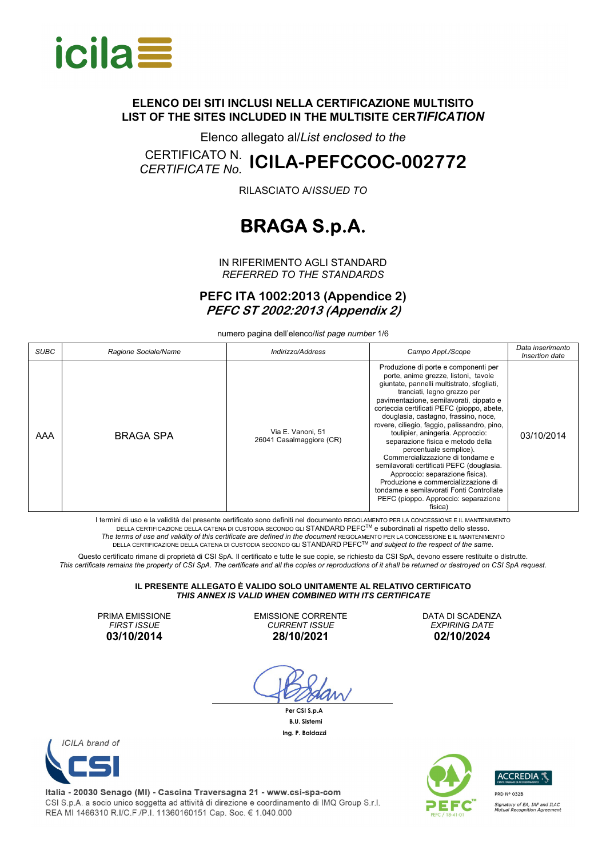

Elenco allegato al/*List enclosed to the*

# CERTIFICATO N. *CERTIFICATE No.* **ICILA-PEFCCOC-002772**

RILASCIATO A/*ISSUED TO*

## **BRAGA S.p.A.**

IN RIFERIMENTO AGLI STANDARD *REFERRED TO THE STANDARDS*

**PEFC ITA 1002:2013 (Appendice 2) PEFC ST 2002:2013 (Appendix 2)** 

numero pagina dell'elenco/*list page number* 1/6

| <b>SUBC</b> | Ragione Sociale/Name | Indirizzo/Address                             | Campo Appl./Scope                                                                                                                                                                                                                                                                                                                                                                                                                                                                                                                                                                                                                                                                                       | Data inserimento<br>Insertion date |
|-------------|----------------------|-----------------------------------------------|---------------------------------------------------------------------------------------------------------------------------------------------------------------------------------------------------------------------------------------------------------------------------------------------------------------------------------------------------------------------------------------------------------------------------------------------------------------------------------------------------------------------------------------------------------------------------------------------------------------------------------------------------------------------------------------------------------|------------------------------------|
| AAA         | <b>BRAGA SPA</b>     | Via E. Vanoni, 51<br>26041 Casalmaggiore (CR) | Produzione di porte e componenti per<br>porte, anime grezze, listoni, tavole<br>giuntate, pannelli multistrato, sfogliati,<br>tranciati, legno grezzo per<br>pavimentazione, semilavorati, cippato e<br>corteccia certificati PEFC (pioppo, abete,<br>douglasia, castagno, frassino, noce,<br>rovere, ciliegio, faggio, palissandro, pino,<br>toulipier, aningeria. Approccio:<br>separazione fisica e metodo della<br>percentuale semplice).<br>Commercializzazione di tondame e<br>semilavorati certificati PEFC (douglasia.<br>Approccio: separazione fisica).<br>Produzione e commercializzazione di<br>tondame e semilavorati Fonti Controllate<br>PEFC (pioppo. Approccio: separazione<br>fisica) | 03/10/2014                         |

I termini di uso e la validità del presente certificato sono definiti nel documento REGOLAMENTO PER LA CONCESSIONE E IL MANTENIMENTO DELLA CERTIFICAZIONE DELLA CATENA DI CUSTODIA SECONDO GLI STANDARD PEFCTM e subordinati al rispetto dello stesso. The terms of use and validity of this certificate are defined in the document REGOLAMENTO PER LA CONCESSIONE E IL MANTENIMENTO<br>∴DELLA CERTIFICAZIONE DELLA CATENA DI CUSTODIA SECONDO GLI STANDARD PEFC™ and subject to the r

Questo certificato rimane di proprietà di CSI SpA. Il certificato e tutte le sue copie, se richiesto da CSI SpA, devono essere restituite o distrutte. *This certificate remains the property of CSI SpA. The certificate and all the copies or reproductions of it shall be returned or destroyed on CSI SpA request.* 

#### **IL PRESENTE ALLEGATO È VALIDO SOLO UNITAMENTE AL RELATIVO CERTIFICATO**  *THIS ANNEX IS VALID WHEN COMBINED WITH ITS CERTIFICATE*

PRIMA EMISSIONE *FIRST ISSUE*  **03/10/2014** 

EMISSIONE CORRENTE *CURRENT ISSUE*  **28/10/2021** 

 **Per CSI S.p.A B.U. Sistemi Ing. P. Baldazzi**

DATA DI SCADENZA *EXPIRING DATE* **02/10/2024** 



Italia - 20030 Senago (MI) - Cascina Traversagna 21 - www.csi-spa-com CSI S.p.A. a socio unico soggetta ad attività di direzione e coordinamento di IMQ Group S.r.l. REA MI 1466310 R.I/C.F./P.I. 11360160151 Cap. Soc. € 1.040.000



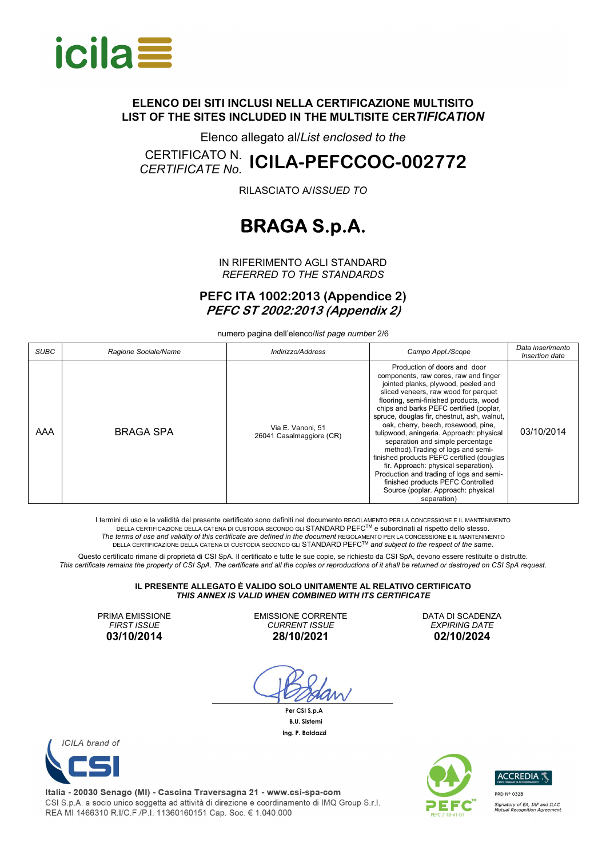

Elenco allegato al/*List enclosed to the*

# CERTIFICATO N. *CERTIFICATE No.* **ICILA-PEFCCOC-002772**

RILASCIATO A/*ISSUED TO*

## **BRAGA S.p.A.**

IN RIFERIMENTO AGLI STANDARD *REFERRED TO THE STANDARDS*

**PEFC ITA 1002:2013 (Appendice 2) PEFC ST 2002:2013 (Appendix 2)** 

numero pagina dell'elenco/*list page number* 2/6

| <b>SUBC</b> | Ragione Sociale/Name | Indirizzo/Address                             | Campo Appl./Scope                                                                                                                                                                                                                                                                                                                                                                                                                                                                                                                                                                                                                                                                | Data inserimento<br>Insertion date |
|-------------|----------------------|-----------------------------------------------|----------------------------------------------------------------------------------------------------------------------------------------------------------------------------------------------------------------------------------------------------------------------------------------------------------------------------------------------------------------------------------------------------------------------------------------------------------------------------------------------------------------------------------------------------------------------------------------------------------------------------------------------------------------------------------|------------------------------------|
| AAA         | BRAGA SPA            | Via E. Vanoni, 51<br>26041 Casalmaggiore (CR) | Production of doors and door<br>components, raw cores, raw and finger<br>jointed planks, plywood, peeled and<br>sliced veneers, raw wood for parquet<br>flooring, semi-finished products, wood<br>chips and barks PEFC certified (poplar,<br>spruce, douglas fir, chestnut, ash, walnut,<br>oak, cherry, beech, rosewood, pine,<br>tulipwood, aningeria. Approach: physical<br>separation and simple percentage<br>method). Trading of logs and semi-<br>finished products PEFC certified (douglas<br>fir. Approach: physical separation).<br>Production and trading of logs and semi-<br>finished products PEFC Controlled<br>Source (poplar. Approach: physical<br>separation) | 03/10/2014                         |

I termini di uso e la validità del presente certificato sono definiti nel documento REGOLAMENTO PER LA CONCESSIONE E IL MANTENIMENTO DELLA CERTIFICAZIONE DELLA CATENA DI CUSTODIA SECONDO GLI STANDARD PEFCTM e subordinati al rispetto dello stesso. The terms of use and validity of this certificate are defined in the document REGOLAMENTO PER LA CONCESSIONE E IL MANTENIMENTO<br>∴DELLA CERTIFICAZIONE DELLA CATENA DI CUSTODIA SECONDO GLI STANDARD PEFC™ and subject to the r

Questo certificato rimane di proprietà di CSI SpA. Il certificato e tutte le sue copie, se richiesto da CSI SpA, devono essere restituite o distrutte. *This certificate remains the property of CSI SpA. The certificate and all the copies or reproductions of it shall be returned or destroyed on CSI SpA request.* 

#### **IL PRESENTE ALLEGATO È VALIDO SOLO UNITAMENTE AL RELATIVO CERTIFICATO**  *THIS ANNEX IS VALID WHEN COMBINED WITH ITS CERTIFICATE*

PRIMA EMISSIONE *FIRST ISSUE*  **03/10/2014** 

EMISSIONE CORRENTE *CURRENT ISSUE*  **28/10/2021** 

 **Per CSI S.p.A B.U. Sistemi Ing. P. Baldazzi**

DATA DI SCADENZA *EXPIRING DATE* **02/10/2024** 



Italia - 20030 Senago (MI) - Cascina Traversagna 21 - www.csi-spa-com CSI S.p.A. a socio unico soggetta ad attività di direzione e coordinamento di IMQ Group S.r.l. REA MI 1466310 R.I/C.F./P.I. 11360160151 Cap. Soc. € 1.040.000



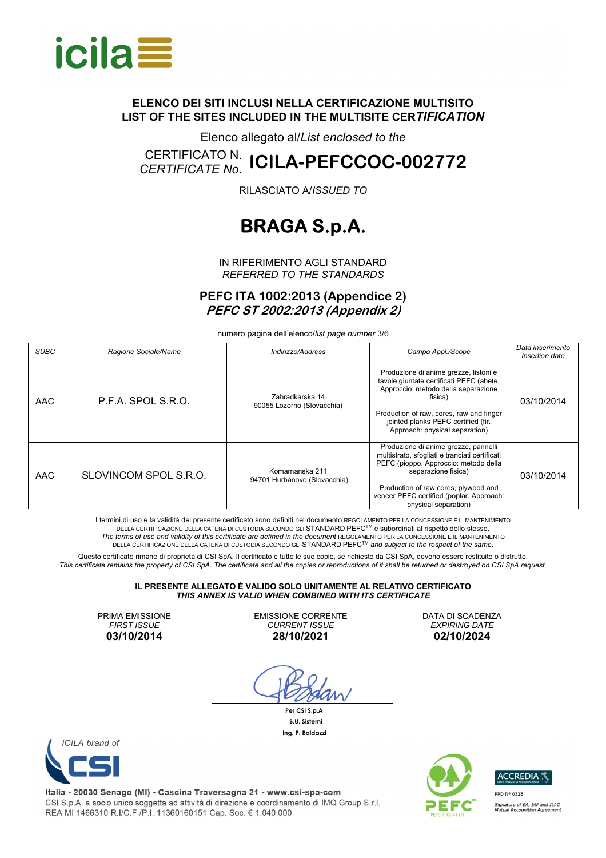

Elenco allegato al/*List enclosed to the*

# CERTIFICATO N. *CERTIFICATE No.* **ICILA-PEFCCOC-002772**

RILASCIATO A/*ISSUED TO*

## **BRAGA S.p.A.**

IN RIFERIMENTO AGLI STANDARD *REFERRED TO THE STANDARDS*

**PEFC ITA 1002:2013 (Appendice 2) PEFC ST 2002:2013 (Appendix 2)** 

numero pagina dell'elenco/*list page number* 3/6

| <b>SUBC</b> | Ragione Sociale/Name  | Indirizzo/Address                               | Campo Appl./Scope                                                                                                                                                                                                                                                  | Data inserimento<br>Insertion date |
|-------------|-----------------------|-------------------------------------------------|--------------------------------------------------------------------------------------------------------------------------------------------------------------------------------------------------------------------------------------------------------------------|------------------------------------|
| <b>AAC</b>  | P.F.A. SPOL S.R.O.    | Zahradkarska 14<br>90055 Lozorno (Slovacchia)   | Produzione di anime grezze, listoni e<br>tavole giuntate certificati PEFC (abete.<br>Approccio: metodo della separazione<br>fisica)<br>Production of raw, cores, raw and finger<br>jointed planks PEFC certified (fir.<br>Approach: physical separation)           | 03/10/2014                         |
| <b>AAC</b>  | SLOVINCOM SPOL S.R.O. | Komarnanska 211<br>94701 Hurbanovo (Slovacchia) | Produzione di anime grezze, pannelli<br>multistrato, sfogliati e tranciati certificati<br>PEFC (pioppo. Approccio: metodo della<br>separazione fisica)<br>Production of raw cores, plywood and<br>veneer PEFC certified (poplar. Approach:<br>physical separation) | 03/10/2014                         |

I termini di uso e la validità del presente certificato sono definiti nel documento REGOLAMENTO PER LA CONCESSIONE E IL MANTENIMENTO DELLA CERTIFICAZIONE DELLA CATENA DI CUSTODIA SECONDO GLI STANDARD PEFCTM e subordinati al rispetto dello stesso. The terms of use and validity of this certificate are defined in the document REGOLAMENTO PER LA CONCESSIONE E IL MANTENIMENTO<br>∴DELLA CERTIFICAZIONE DELLA CATENA DI CUSTODIA SECONDO GLI STANDARD PEFC™ and subject to the r

Questo certificato rimane di proprietà di CSI SpA. Il certificato e tutte le sue copie, se richiesto da CSI SpA, devono essere restituite o distrutte. *This certificate remains the property of CSI SpA. The certificate and all the copies or reproductions of it shall be returned or destroyed on CSI SpA request.* 

#### **IL PRESENTE ALLEGATO È VALIDO SOLO UNITAMENTE AL RELATIVO CERTIFICATO**  *THIS ANNEX IS VALID WHEN COMBINED WITH ITS CERTIFICATE*

PRIMA EMISSIONE *FIRST ISSUE*  **03/10/2014** 

EMISSIONE CORRENTE *CURRENT ISSUE*  **28/10/2021** 

 **Per CSI S.p.A B.U. Sistemi Ing. P. Baldazzi**

DATA DI SCADENZA *EXPIRING DATE* **02/10/2024** 



Italia - 20030 Senago (MI) - Cascina Traversagna 21 - www.csi-spa-com CSI S.p.A. a socio unico soggetta ad attività di direzione e coordinamento di IMQ Group S.r.l. REA MI 1466310 R.I/C.F./P.I. 11360160151 Cap. Soc. € 1.040.000



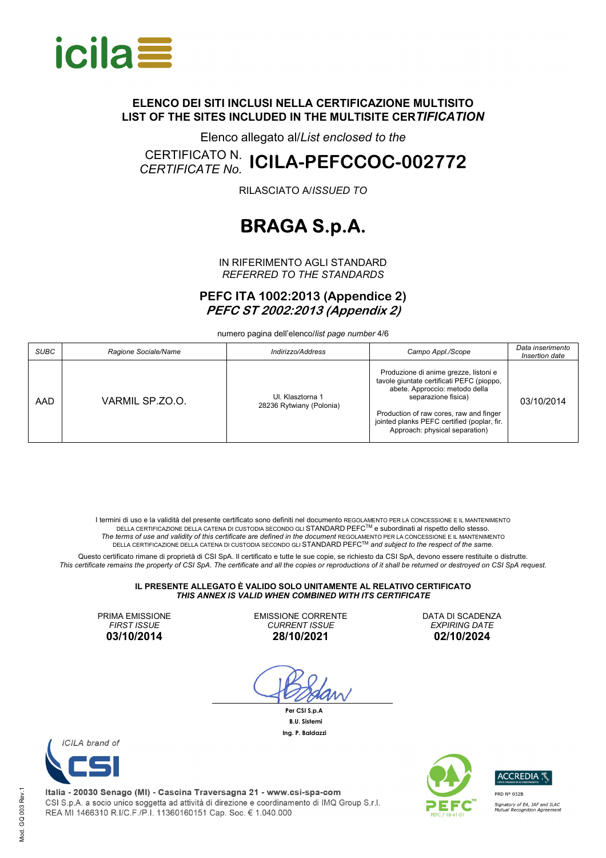

Elenco allegato al/*List enclosed to the*

# CERTIFICATO N. *CERTIFICATE No.* **ICILA-PEFCCOC-002772**

RILASCIATO A/*ISSUED TO*

## **BRAGA S.p.A.**

IN RIFERIMENTO AGLI STANDARD *REFERRED TO THE STANDARDS*

**PEFC ITA 1002:2013 (Appendice 2) PEFC ST 2002:2013 (Appendix 2)** 

numero pagina dell'elenco/*list page number* 4/6

| <b>SUBC</b> | Ragione Sociale/Name | Indirizzo/Address                            | Campo Appl./Scope                                                                                                                                                                                                                                                       | Data inserimento<br>Insertion date |
|-------------|----------------------|----------------------------------------------|-------------------------------------------------------------------------------------------------------------------------------------------------------------------------------------------------------------------------------------------------------------------------|------------------------------------|
| AAD         | VARMIL SP.ZO.O.      | UI. Klasztorna 1<br>28236 Rytwiany (Polonia) | Produzione di anime grezze, listoni e<br>tavole giuntate certificati PEFC (pioppo,<br>abete. Approccio: metodo della<br>separazione fisica)<br>Production of raw cores, raw and finger<br>jointed planks PEFC certified (poplar, fir.<br>Approach: physical separation) | 03/10/2014                         |

I termini di uso e la validità del presente certificato sono definiti nel documento REGOLAMENTO PER LA CONCESSIONE E IL MANTENIMENTO DELLA CERTIFICAZIONE DELLA CATENA DI CUSTODIA SECONDO GLI STANDARD PEFCTM e subordinati al rispetto dello stesso. The terms of use and validity of this certificate are defined in the document REGOLAMENTO PER LA CONCESSIONE E IL MANTENIMENTO<br>∴DELLA CERTIFICAZIONE DELLA CATENA DI CUSTODIA SECONDO GLI STANDARD PEFC™ and subject to the r

Questo certificato rimane di proprietà di CSI SpA. Il certificato e tutte le sue copie, se richiesto da CSI SpA, devono essere restituite o distrutte. *This certificate remains the property of CSI SpA. The certificate and all the copies or reproductions of it shall be returned or destroyed on CSI SpA request.* 

#### **IL PRESENTE ALLEGATO È VALIDO SOLO UNITAMENTE AL RELATIVO CERTIFICATO**  *THIS ANNEX IS VALID WHEN COMBINED WITH ITS CERTIFICATE*

PRIMA EMISSIONE *FIRST ISSUE*  **03/10/2014** 

EMISSIONE CORRENTE *CURRENT ISSUE*  **28/10/2021** 

 **Per CSI S.p.A B.U. Sistemi Ing. P. Baldazzi**

DATA DI SCADENZA *EXPIRING DATE* **02/10/2024** 





Italia - 20030 Senago (MI) - Cascina Traversagna 21 - www.csi-spa-com CSI S.p.A. a socio unico soggetta ad attività di direzione e coordinamento di IMQ Group S.r.l. REA MI 1466310 R.I/C.F./P.I. 11360160151 Cap. Soc. € 1.040.000





Mod. GQ 003 Rev.1 Mod. GQ 003 Rev.1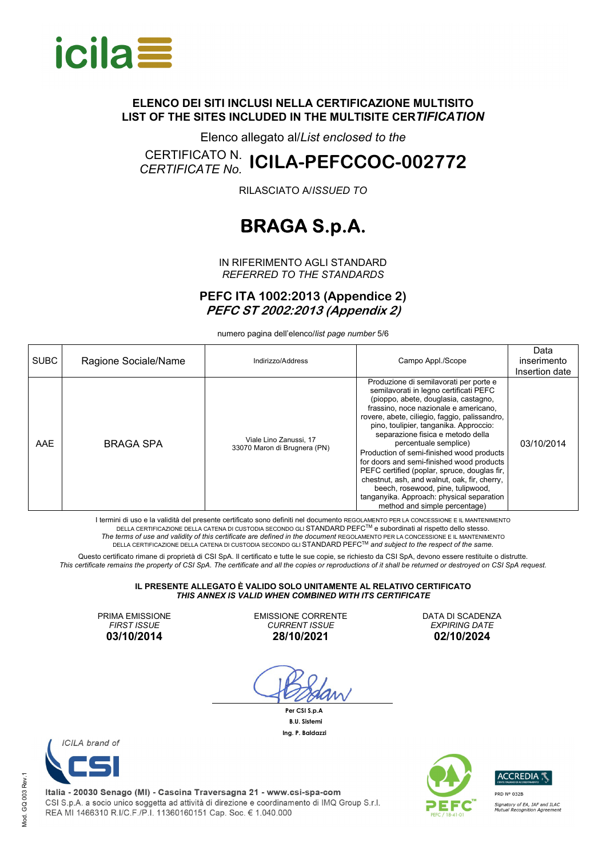

Elenco allegato al/*List enclosed to the*

# CERTIFICATO N. *CERTIFICATE No.* **ICILA-PEFCCOC-002772**

RILASCIATO A/*ISSUED TO*

## **BRAGA S.p.A.**

IN RIFERIMENTO AGLI STANDARD *REFERRED TO THE STANDARDS*

**PEFC ITA 1002:2013 (Appendice 2) PEFC ST 2002:2013 (Appendix 2)** 

numero pagina dell'elenco/*list page number* 5/6

| <b>SUBC</b> | Ragione Sociale/Name | Indirizzo/Address                                      | Campo Appl./Scope                                                                                                                                                                                                                                                                                                                                                                                                                                                                                                                                                                                                                       | Data<br>inserimento<br>Insertion date |
|-------------|----------------------|--------------------------------------------------------|-----------------------------------------------------------------------------------------------------------------------------------------------------------------------------------------------------------------------------------------------------------------------------------------------------------------------------------------------------------------------------------------------------------------------------------------------------------------------------------------------------------------------------------------------------------------------------------------------------------------------------------------|---------------------------------------|
| AAE         | BRAGA SPA            | Viale Lino Zanussi, 17<br>33070 Maron di Brugnera (PN) | Produzione di semilavorati per porte e<br>semilavorati in legno certificati PEFC<br>(pioppo, abete, douglasia, castagno,<br>frassino, noce nazionale e americano,<br>rovere, abete, ciliegio, faggio, palissandro,<br>pino, toulipier, tanganika. Approccio:<br>separazione fisica e metodo della<br>percentuale semplice)<br>Production of semi-finished wood products<br>for doors and semi-finished wood products<br>PEFC certified (poplar, spruce, douglas fir,<br>chestnut, ash, and walnut, oak, fir, cherry,<br>beech, rosewood, pine, tulipwood,<br>tanganyika. Approach: physical separation<br>method and simple percentage) | 03/10/2014                            |

I termini di uso e la validità del presente certificato sono definiti nel documento REGOLAMENTO PER LA CONCESSIONE E IL MANTENIMENTO DELLA CERTIFICAZIONE DELLA CATENA DI CUSTODIA SECONDO GLI STANDARD PEFCTM e subordinati al rispetto dello stesso. The terms of use and validity of this certificate are defined in the document REGOLAMENTO PER LA CONCESSIONE E IL MANTENIMENTO<br>∴DELLA CERTIFICAZIONE DELLA CATENA DI CUSTODIA SECONDO GLI STANDARD PEFC™ and subject to the r

Questo certificato rimane di proprietà di CSI SpA. Il certificato e tutte le sue copie, se richiesto da CSI SpA, devono essere restituite o distrutte. *This certificate remains the property of CSI SpA. The certificate and all the copies or reproductions of it shall be returned or destroyed on CSI SpA request.* 

#### **IL PRESENTE ALLEGATO È VALIDO SOLO UNITAMENTE AL RELATIVO CERTIFICATO**  *THIS ANNEX IS VALID WHEN COMBINED WITH ITS CERTIFICATE*

PRIMA EMISSIONE *FIRST ISSUE*  **03/10/2014** 

EMISSIONE CORRENTE *CURRENT ISSUE*  **28/10/2021** 

 **Per CSI S.p.A B.U. Sistemi Ing. P. Baldazzi**

DATA DI SCADENZA *EXPIRING DATE* **02/10/2024** 





Italia - 20030 Senago (MI) - Cascina Traversagna 21 - www.csi-spa-com CSI S.p.A. a socio unico soggetta ad attività di direzione e coordinamento di IMQ Group S.r.l. REA MI 1466310 R.I/C.F./P.I. 11360160151 Cap. Soc. € 1.040.000